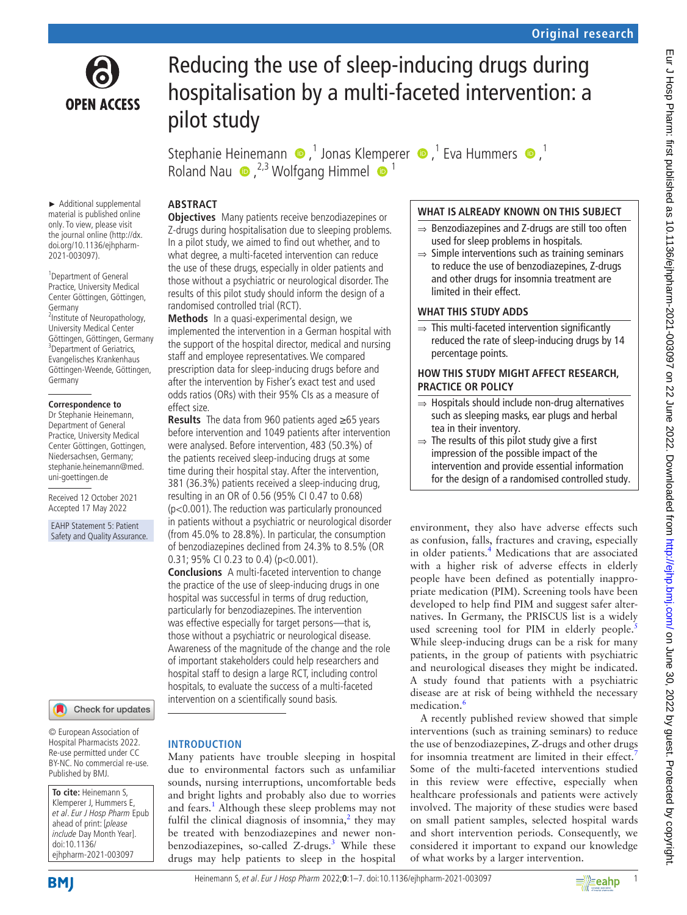

# Reducing the use of sleep-inducing drugs during hospitalisation by a multi-faceted intervention: a pilot study

StephanieHeinemann  $\bullet$ ,<sup>1</sup> Jonas Klemperer  $\bullet$ ,<sup>1</sup> Eva Hummers  $\bullet$ ,<sup>1</sup> RolandNau  $\bullet$ , <sup>2,3</sup> Wolfgang Himmel  $\bullet$ <sup>1</sup>

# **ABSTRACT**

► Additional supplemental material is published online only. To view, please visit the journal online [\(http://dx.](http://dx.doi.org/10.1136/ejhpharm-2021-003097) [doi.org/10.1136/ejhpharm-](http://dx.doi.org/10.1136/ejhpharm-2021-003097)[2021-003097\)](http://dx.doi.org/10.1136/ejhpharm-2021-003097).

<sup>1</sup>Department of General Practice, University Medical Center Göttingen, Göttingen, Germany <sup>2</sup>Institute of Neuropathology, University Medical Center Göttingen, Göttingen, Germany <sup>3</sup>Department of Geriatrics, Evangelisches Krankenhaus Göttingen-Weende, Göttingen, Germany

#### **Correspondence to**

Dr Stephanie Heinemann, Department of General Practice, University Medical Center Göttingen, Gottingen, Niedersachsen, Germany; stephanie.heinemann@med. uni-goettingen.de

Received 12 October 2021 Accepted 17 May 2022

EAHP Statement 5: Patient Safety and Quality Assurance.

Check for updates

© European Association of Hospital Pharmacists 2022. Re-use permitted under CC BY-NC. No commercial re-use. Published by BMJ.

**To cite:** Heinemann S, Klemperer J, Hummers E, et al. Eur J Hosp Pharm Epub ahead of print: [please include Day Month Year]. doi:10.1136/ ejhpharm-2021-003097

#### **Objectives** Many patients receive benzodiazepines or Z-drugs during hospitalisation due to sleeping problems. In a pilot study, we aimed to find out whether, and to what degree, a multi-faceted intervention can reduce the use of these drugs, especially in older patients and those without a psychiatric or neurological disorder. The results of this pilot study should inform the design of a randomised controlled trial (RCT).

**Methods** In a quasi-experimental design, we implemented the intervention in a German hospital with the support of the hospital director, medical and nursing staff and employee representatives. We compared prescription data for sleep-inducing drugs before and after the intervention by Fisher's exact test and used odds ratios (ORs) with their 95% CIs as a measure of effect size.

**Results** The data from 960 patients aged ≥65 years before intervention and 1049 patients after intervention were analysed. Before intervention, 483 (50.3%) of the patients received sleep-inducing drugs at some time during their hospital stay. After the intervention, 381 (36.3%) patients received a sleep-inducing drug, resulting in an OR of 0.56 (95% CI 0.47 to 0.68) (p<0.001). The reduction was particularly pronounced in patients without a psychiatric or neurological disorder (from 45.0% to 28.8%). In particular, the consumption of benzodiazepines declined from 24.3% to 8.5% (OR 0.31; 95% CI 0.23 to 0.4) (p<0.001).

**Conclusions** A multi-faceted intervention to change the practice of the use of sleep-inducing drugs in one hospital was successful in terms of drug reduction, particularly for benzodiazepines. The intervention was effective especially for target persons—that is, those without a psychiatric or neurological disease. Awareness of the magnitude of the change and the role of important stakeholders could help researchers and hospital staff to design a large RCT, including control hospitals, to evaluate the success of a multi-faceted intervention on a scientifically sound basis.

#### **INTRODUCTION**

Many patients have trouble sleeping in hospital due to environmental factors such as unfamiliar sounds, nursing interruptions, uncomfortable beds and bright lights and probably also due to worries and fears.<sup>1</sup> Although these sleep problems may not fulfil the clinical diagnosis of insomnia, $\lambda$  they may be treated with benzodiazepines and newer non-benzodiazepines, so-called Z-drugs.<sup>[3](#page-6-2)</sup> While these drugs may help patients to sleep in the hospital

# **WHAT IS ALREADY KNOWN ON THIS SUBJECT**

- ⇒ Benzodiazepines and Z-drugs are still too often used for sleep problems in hospitals.
- $\Rightarrow$  Simple interventions such as training seminars to reduce the use of benzodiazepines, Z-drugs and other drugs for insomnia treatment are limited in their effect.

#### **WHAT THIS STUDY ADDS**

 $\Rightarrow$  This multi-faceted intervention significantly reduced the rate of sleep-inducing drugs by 14 percentage points.

#### **HOW THIS STUDY MIGHT AFFECT RESEARCH, PRACTICE OR POLICY**

- ⇒ Hospitals should include non-drug alternatives such as sleeping masks, ear plugs and herbal tea in their inventory.
- $\Rightarrow$  The results of this pilot study give a first impression of the possible impact of the intervention and provide essential information for the design of a randomised controlled study.

environment, they also have adverse effects such as confusion, falls, fractures and craving, especially in older patients.<sup>[4](#page-6-3)</sup> Medications that are associated with a higher risk of adverse effects in elderly people have been defined as potentially inappropriate medication (PIM). Screening tools have been developed to help find PIM and suggest safer alternatives. In Germany, the PRISCUS list is a widely used screening tool for PIM in elderly people.<sup>[5](#page-6-4)</sup> While sleep-inducing drugs can be a risk for many patients, in the group of patients with psychiatric and neurological diseases they might be indicated. A study found that patients with a psychiatric disease are at risk of being withheld the necessary medication.<sup>6</sup>

A recently published review showed that simple interventions (such as training seminars) to reduce the use of benzodiazepines, Z-drugs and other drugs for insomnia treatment are limited in their effect.<sup>[7](#page-6-6)</sup> Some of the multi-faceted interventions studied in this review were effective, especially when healthcare professionals and patients were actively involved. The majority of these studies were based on small patient samples, selected hospital wards and short intervention periods. Consequently, we considered it important to expand our knowledge of what works by a larger intervention.

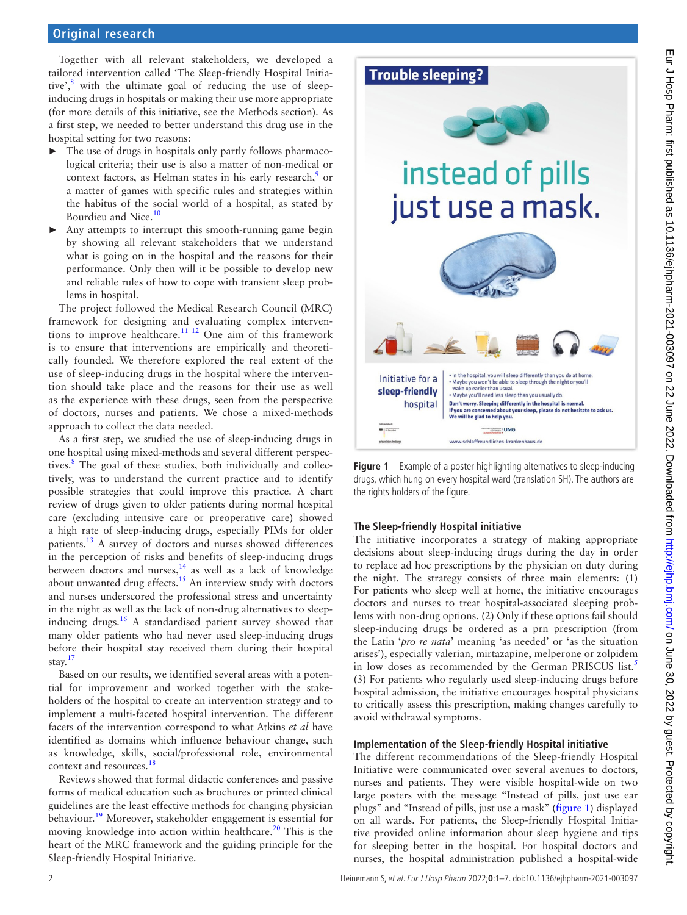#### **Original research**

Together with all relevant stakeholders, we developed a tailored intervention called 'The Sleep-friendly Hospital Initiative',<sup>8</sup> with the ultimate goal of reducing the use of sleepinducing drugs in hospitals or making their use more appropriate (for more details of this initiative, see the Methods section). As a first step, we needed to better understand this drug use in the hospital setting for two reasons:

- $\blacktriangleright$  The use of drugs in hospitals only partly follows pharmacological criteria; their use is also a matter of non-medical or context factors, as Helman states in his early research,<sup>[9](#page-6-8)</sup> or a matter of games with specific rules and strategies within the habitus of the social world of a hospital, as stated by Bourdieu and Nice.<sup>[10](#page-6-9)</sup>
- Any attempts to interrupt this smooth-running game begin by showing all relevant stakeholders that we understand what is going on in the hospital and the reasons for their performance. Only then will it be possible to develop new and reliable rules of how to cope with transient sleep problems in hospital.

The project followed the Medical Research Council (MRC) framework for designing and evaluating complex interventions to improve healthcare.<sup>11 12</sup> One aim of this framework is to ensure that interventions are empirically and theoretically founded. We therefore explored the real extent of the use of sleep-inducing drugs in the hospital where the intervention should take place and the reasons for their use as well as the experience with these drugs, seen from the perspective of doctors, nurses and patients. We chose a mixed-methods approach to collect the data needed.

As a first step, we studied the use of sleep-inducing drugs in one hospital using mixed-methods and several different perspec-tives.<sup>[8](#page-6-7)</sup> The goal of these studies, both individually and collectively, was to understand the current practice and to identify possible strategies that could improve this practice. A chart review of drugs given to older patients during normal hospital care (excluding intensive care or preoperative care) showed a high rate of sleep-inducing drugs, especially PIMs for older patients.[13](#page-6-11) A survey of doctors and nurses showed differences in the perception of risks and benefits of sleep-inducing drugs between doctors and nurses, $14$  as well as a lack of knowledge about unwanted drug effects.<sup>15</sup> An interview study with doctors and nurses underscored the professional stress and uncertainty in the night as well as the lack of non-drug alternatives to sleepinducing drugs.[16](#page-6-14) A standardised patient survey showed that many older patients who had never used sleep-inducing drugs before their hospital stay received them during their hospital stay. $17$ 

Based on our results, we identified several areas with a potential for improvement and worked together with the stakeholders of the hospital to create an intervention strategy and to implement a multi-faceted hospital intervention. The different facets of the intervention correspond to what Atkins *et al* have identified as domains which influence behaviour change, such as knowledge, skills, social/professional role, environmental context and resources.[18](#page-6-16)

Reviews showed that formal didactic conferences and passive forms of medical education such as brochures or printed clinical guidelines are the least effective methods for changing physician behaviour.<sup>19</sup> Moreover, stakeholder engagement is essential for moving knowledge into action within healthcare.<sup>[20](#page-6-18)</sup> This is the heart of the MRC framework and the guiding principle for the Sleep-friendly Hospital Initiative.

# **Trouble sleeping?**



**Figure 1** Example of a poster highlighting alternatives to sleep-inducing drugs, which hung on every hospital ward (translation SH). The authors are the rights holders of the figure.

#### <span id="page-1-0"></span>**The Sleep-friendly Hospital initiative**

The initiative incorporates a strategy of making appropriate decisions about sleep-inducing drugs during the day in order to replace ad hoc prescriptions by the physician on duty during the night. The strategy consists of three main elements: (1) For patients who sleep well at home, the initiative encourages doctors and nurses to treat hospital-associated sleeping problems with non-drug options. (2) Only if these options fail should sleep-inducing drugs be ordered as a prn prescription (from the Latin '*pro re nata*' meaning 'as needed' or 'as the situation arises'), especially valerian, mirtazapine, melperone or zolpidem in low doses as recommended by the German PRISCUS list.<sup>[5](#page-6-4)</sup> (3) For patients who regularly used sleep-inducing drugs before hospital admission, the initiative encourages hospital physicians to critically assess this prescription, making changes carefully to avoid withdrawal symptoms.

#### **Implementation of the Sleep-friendly Hospital initiative**

The different recommendations of the Sleep-friendly Hospital Initiative were communicated over several avenues to doctors, nurses and patients. They were visible hospital-wide on two large posters with the message "Instead of pills, just use ear plugs" and "Instead of pills, just use a mask" ([figure](#page-1-0) 1) displayed on all wards. For patients, the Sleep-friendly Hospital Initiative provided online information about sleep hygiene and tips for sleeping better in the hospital. For hospital doctors and nurses, the hospital administration published a hospital-wide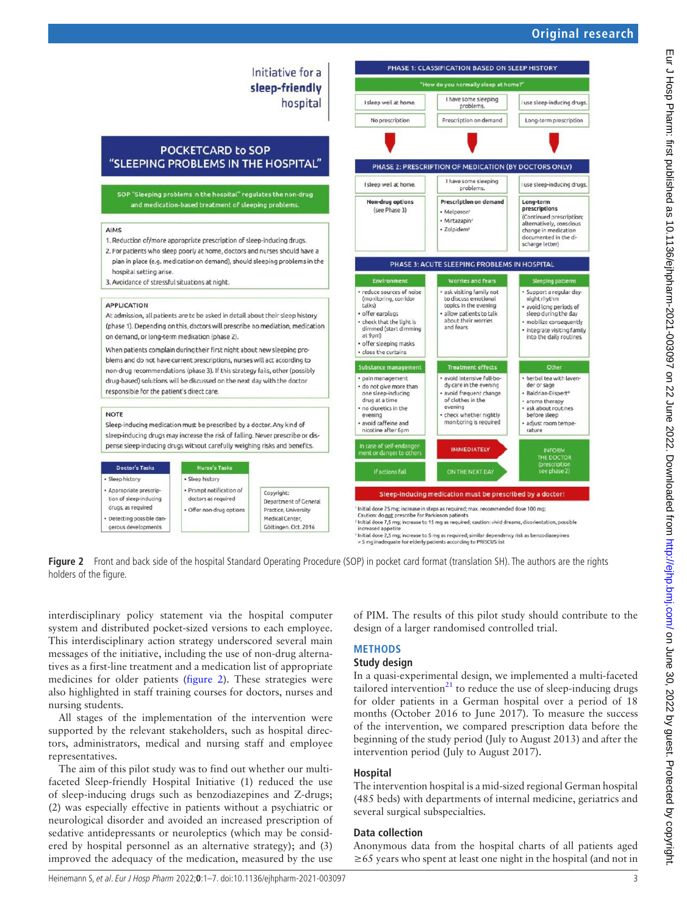

<span id="page-2-0"></span>**Figure 2** Front and back side of the hospital Standard Operating Procedure (SOP) in pocket card format (translation SH). The authors are the rights holders of the figure.

interdisciplinary policy statement via the hospital computer system and distributed pocket-sized versions to each employee. This interdisciplinary action strategy underscored several main messages of the initiative, including the use of non-drug alternatives as a first-line treatment and a medication list of appropriate medicines for older patients ([figure](#page-2-0) 2). These strategies were also highlighted in staff training courses for doctors, nurses and nursing students.

All stages of the implementation of the intervention were supported by the relevant stakeholders, such as hospital directors, administrators, medical and nursing staff and employee representatives.

The aim of this pilot study was to find out whether our multifaceted Sleep-friendly Hospital Initiative (1) reduced the use of sleep-inducing drugs such as benzodiazepines and Z-drugs; (2) was especially effective in patients without a psychiatric or neurological disorder and avoided an increased prescription of sedative antidepressants or neuroleptics (which may be considered by hospital personnel as an alternative strategy); and (3) improved the adequacy of the medication, measured by the use of PIM. The results of this pilot study should contribute to the design of a larger randomised controlled trial.

# **METHODS**

# **Study design**

In a quasi-experimental design, we implemented a multi-faceted tailored intervention<sup>21</sup> to reduce the use of sleep-inducing drugs for older patients in a German hospital over a period of 18 months (October 2016 to June 2017). To measure the success of the intervention, we compared prescription data before the beginning of the study period (July to August 2013) and after the intervention period (July to August 2017).

#### **Hospital**

The intervention hospital is a mid-sized regional German hospital (485 beds) with departments of internal medicine, geriatrics and several surgical subspecialties.

#### **Data collection**

Anonymous data from the hospital charts of all patients aged  $\geq 65$  years who spent at least one night in the hospital (and not in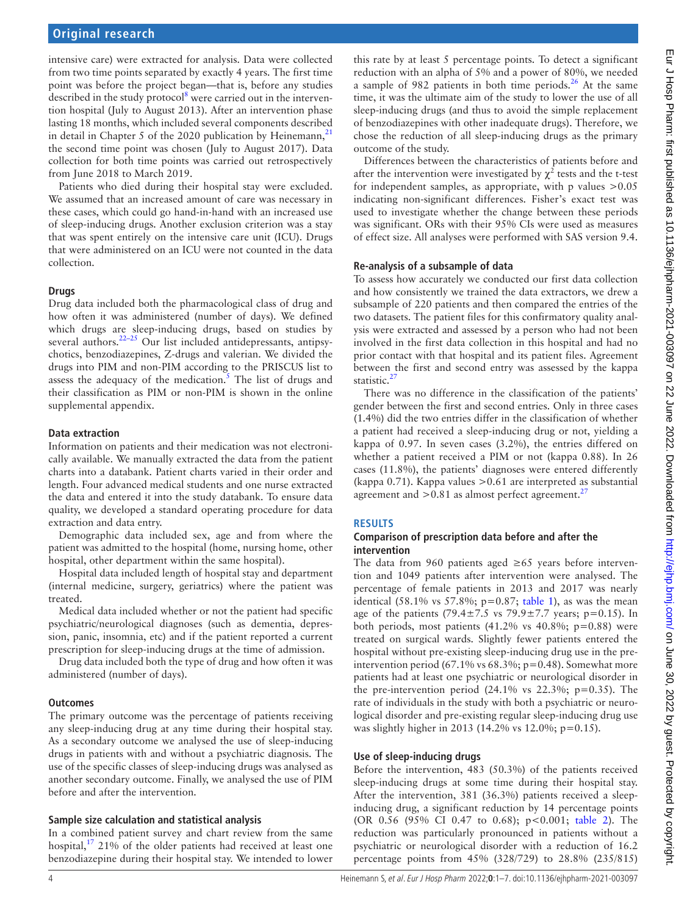intensive care) were extracted for analysis. Data were collected from two time points separated by exactly 4 years. The first time point was before the project began—that is, before any studies described in the study protocol<sup>8</sup> were carried out in the intervention hospital (July to August 2013). After an intervention phase lasting 18 months, which included several components described in detail in Chapter 5 of the 2020 publication by Heinemann, $^{21}$  $^{21}$  $^{21}$ the second time point was chosen (July to August 2017). Data collection for both time points was carried out retrospectively from June 2018 to March 2019.

Patients who died during their hospital stay were excluded. We assumed that an increased amount of care was necessary in these cases, which could go hand-in-hand with an increased use of sleep-inducing drugs. Another exclusion criterion was a stay that was spent entirely on the intensive care unit (ICU). Drugs that were administered on an ICU were not counted in the data collection.

#### **Drugs**

Drug data included both the pharmacological class of drug and how often it was administered (number of days). We defined which drugs are sleep-inducing drugs, based on studies by several authors.<sup>22-25</sup> Our list included antidepressants, antipsychotics, benzodiazepines, Z-drugs and valerian. We divided the drugs into PIM and non-PIM according to the PRISCUS list to assess the adequacy of the medication. $\frac{1}{5}$  $\frac{1}{5}$  $\frac{1}{5}$  The list of drugs and their classification as PIM or non-PIM is shown in the [online](https://dx.doi.org/10.1136/ejhpharm-2021-003097)  [supplemental appendix.](https://dx.doi.org/10.1136/ejhpharm-2021-003097)

#### **Data extraction**

Information on patients and their medication was not electronically available. We manually extracted the data from the patient charts into a databank. Patient charts varied in their order and length. Four advanced medical students and one nurse extracted the data and entered it into the study databank. To ensure data quality, we developed a standard operating procedure for data extraction and data entry.

Demographic data included sex, age and from where the patient was admitted to the hospital (home, nursing home, other hospital, other department within the same hospital).

Hospital data included length of hospital stay and department (internal medicine, surgery, geriatrics) where the patient was treated.

Medical data included whether or not the patient had specific psychiatric/neurological diagnoses (such as dementia, depression, panic, insomnia, etc) and if the patient reported a current prescription for sleep-inducing drugs at the time of admission.

Drug data included both the type of drug and how often it was administered (number of days).

#### **Outcomes**

The primary outcome was the percentage of patients receiving any sleep-inducing drug at any time during their hospital stay. As a secondary outcome we analysed the use of sleep-inducing drugs in patients with and without a psychiatric diagnosis. The use of the specific classes of sleep-inducing drugs was analysed as another secondary outcome. Finally, we analysed the use of PIM before and after the intervention.

#### **Sample size calculation and statistical analysis**

In a combined patient survey and chart review from the same hospital, $17$  21% of the older patients had received at least one benzodiazepine during their hospital stay. We intended to lower

this rate by at least 5 percentage points. To detect a significant reduction with an alpha of 5% and a power of 80%, we needed a sample of 982 patients in both time periods.<sup>26</sup> At the same time, it was the ultimate aim of the study to lower the use of all sleep-inducing drugs (and thus to avoid the simple replacement of benzodiazepines with other inadequate drugs). Therefore, we chose the reduction of all sleep-inducing drugs as the primary outcome of the study.

Differences between the characteristics of patients before and after the intervention were investigated by  $\chi^2$  tests and the t-test for independent samples, as appropriate, with p values >0.05 indicating non-significant differences. Fisher's exact test was used to investigate whether the change between these periods was significant. ORs with their 95% CIs were used as measures of effect size. All analyses were performed with SAS version 9.4.

#### **Re-analysis of a subsample of data**

To assess how accurately we conducted our first data collection and how consistently we trained the data extractors, we drew a subsample of 220 patients and then compared the entries of the two datasets. The patient files for this confirmatory quality analysis were extracted and assessed by a person who had not been involved in the first data collection in this hospital and had no prior contact with that hospital and its patient files. Agreement between the first and second entry was assessed by the kappa statistic.<sup>[27](#page-6-22)</sup>

There was no difference in the classification of the patients' gender between the first and second entries. Only in three cases (1.4%) did the two entries differ in the classification of whether a patient had received a sleep-inducing drug or not, yielding a kappa of 0.97. In seven cases (3.2%), the entries differed on whether a patient received a PIM or not (kappa 0.88). In 26 cases (11.8%), the patients' diagnoses were entered differently (kappa  $0.71$ ). Kappa values  $> 0.61$  are interpreted as substantial agreement and  $>0.81$  as almost perfect agreement.<sup>2</sup>

#### **RESULTS**

#### **Comparison of prescription data before and after the intervention**

The data from 960 patients aged ≥65 years before intervention and 1049 patients after intervention were analysed. The percentage of female patients in 2013 and 2017 was nearly identical (58.1% vs 57.8%;  $p=0.87$ ; [table](#page-4-0) 1), as was the mean age of the patients (79.4 $\pm$ 7.5 vs 79.9 $\pm$ 7.7 years; p=0.15). In both periods, most patients  $(41.2\% \text{ vs } 40.8\%; \text{ p}=0.88)$  were treated on surgical wards. Slightly fewer patients entered the hospital without pre-existing sleep-inducing drug use in the preintervention period  $(67.1\% \text{ vs } 68.3\%; \text{ p} = 0.48)$ . Somewhat more patients had at least one psychiatric or neurological disorder in the pre-intervention period  $(24.1\% \text{ vs } 22.3\%; \text{ p=0.35}).$  The rate of individuals in the study with both a psychiatric or neurological disorder and pre-existing regular sleep-inducing drug use was slightly higher in 2013 (14.2% vs 12.0%; p=0.15).

#### **Use of sleep-inducing drugs**

Before the intervention, 483 (50.3%) of the patients received sleep-inducing drugs at some time during their hospital stay. After the intervention, 381 (36.3%) patients received a sleepinducing drug, a significant reduction by 14 percentage points (OR 0.56 (95% CI 0.47 to 0.68); p<0.001; [table](#page-4-1) 2). The reduction was particularly pronounced in patients without a psychiatric or neurological disorder with a reduction of 16.2 percentage points from 45% (328/729) to 28.8% (235/815)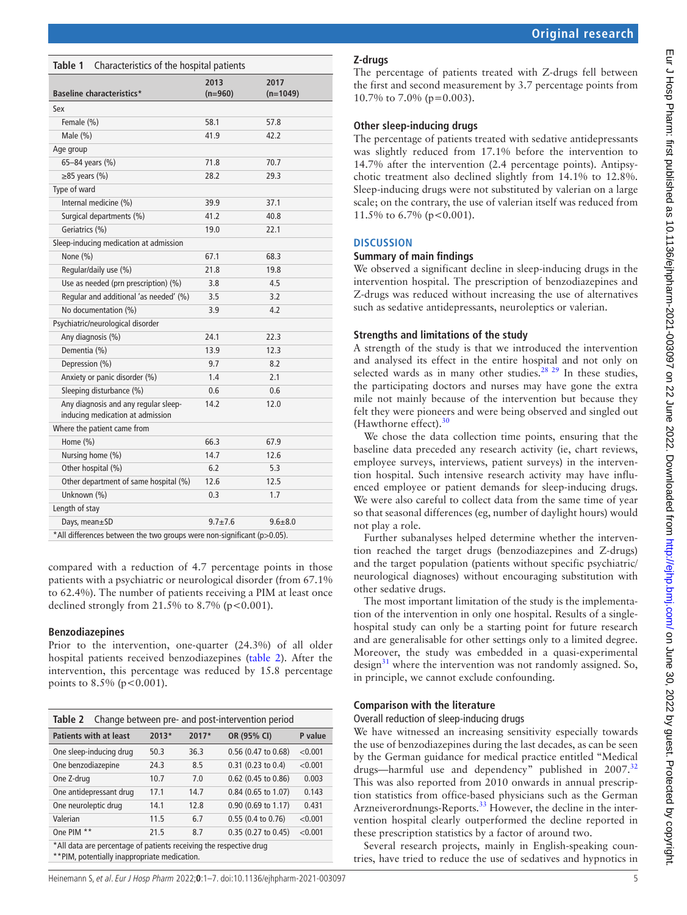| ŗ                                                 |  |
|---------------------------------------------------|--|
|                                                   |  |
|                                                   |  |
|                                                   |  |
| !                                                 |  |
|                                                   |  |
|                                                   |  |
|                                                   |  |
|                                                   |  |
|                                                   |  |
|                                                   |  |
|                                                   |  |
|                                                   |  |
| s<br>s<br>s<br>.<br>.                             |  |
|                                                   |  |
|                                                   |  |
|                                                   |  |
|                                                   |  |
|                                                   |  |
|                                                   |  |
|                                                   |  |
|                                                   |  |
|                                                   |  |
|                                                   |  |
|                                                   |  |
|                                                   |  |
|                                                   |  |
| $\overline{a}$                                    |  |
|                                                   |  |
| )<br>)<br>)                                       |  |
| 1                                                 |  |
| <b>CONTRACT - COOCO - CI-FF COIC FOFF - COIF.</b> |  |
|                                                   |  |
|                                                   |  |
|                                                   |  |
|                                                   |  |
|                                                   |  |
|                                                   |  |
|                                                   |  |
|                                                   |  |
| $\frac{1}{2}$                                     |  |
|                                                   |  |
|                                                   |  |
|                                                   |  |
|                                                   |  |
|                                                   |  |
| ī                                                 |  |
|                                                   |  |
| ᠈                                                 |  |
|                                                   |  |
|                                                   |  |
|                                                   |  |
|                                                   |  |
|                                                   |  |
|                                                   |  |
| ׇ֚֓֡                                              |  |
|                                                   |  |
|                                                   |  |
|                                                   |  |
|                                                   |  |
|                                                   |  |
|                                                   |  |

|  | <b>Original research</b> |
|--|--------------------------|
|  |                          |
|  |                          |

#### <span id="page-4-0"></span>**Table 1** Characteristics of the hospital patients

| <b>Baseline characteristics*</b>                                         | 2013<br>$(n=960)$ | 2017<br>$(n=1049)$ |  |  |  |  |  |
|--------------------------------------------------------------------------|-------------------|--------------------|--|--|--|--|--|
| Sex                                                                      |                   |                    |  |  |  |  |  |
| Female (%)                                                               | 58.1              | 57.8               |  |  |  |  |  |
| Male (%)                                                                 | 41.9              | 42.2               |  |  |  |  |  |
| Age group                                                                |                   |                    |  |  |  |  |  |
| 65-84 years (%)                                                          | 71.8              | 70.7               |  |  |  |  |  |
| $\geq$ 85 years (%)                                                      | 28.2              | 29.3               |  |  |  |  |  |
| Type of ward                                                             |                   |                    |  |  |  |  |  |
| Internal medicine (%)                                                    | 39.9              | 37.1               |  |  |  |  |  |
| Surgical departments (%)                                                 | 41.2              | 40.8               |  |  |  |  |  |
| Geriatrics (%)                                                           | 19.0              | 22.1               |  |  |  |  |  |
| Sleep-inducing medication at admission                                   |                   |                    |  |  |  |  |  |
| None (%)                                                                 | 67.1              | 68.3               |  |  |  |  |  |
| Regular/daily use (%)                                                    | 21.8              | 19.8               |  |  |  |  |  |
| Use as needed (prn prescription) (%)                                     | 3.8               | 4.5                |  |  |  |  |  |
| Regular and additional 'as needed' (%)                                   | 3.5               | 3.2                |  |  |  |  |  |
| No documentation (%)                                                     | 3.9               | 4.2                |  |  |  |  |  |
| Psychiatric/neurological disorder                                        |                   |                    |  |  |  |  |  |
| Any diagnosis (%)                                                        | 24.1              | 22.3               |  |  |  |  |  |
| Dementia (%)                                                             | 13.9              | 12.3               |  |  |  |  |  |
| Depression (%)                                                           | 9.7               | 8.2                |  |  |  |  |  |
| Anxiety or panic disorder (%)                                            | 1.4               | 2.1                |  |  |  |  |  |
| Sleeping disturbance (%)                                                 | 0.6               | 0.6                |  |  |  |  |  |
| Any diagnosis and any regular sleep-<br>inducing medication at admission | 14.2              | 12.0               |  |  |  |  |  |
| Where the patient came from                                              |                   |                    |  |  |  |  |  |
| Home (%)                                                                 | 66.3              | 67.9               |  |  |  |  |  |
| Nursing home (%)                                                         | 14.7              | 12.6               |  |  |  |  |  |
| Other hospital (%)                                                       | 6.2               | 5.3                |  |  |  |  |  |
| Other department of same hospital (%)                                    | 12.6              | 12.5               |  |  |  |  |  |
| Unknown (%)                                                              | 0.3               | 1.7                |  |  |  |  |  |
| Length of stay                                                           |                   |                    |  |  |  |  |  |
| Days, mean±SD                                                            | $9.7 + 7.6$       | $9.6 + 8.0$        |  |  |  |  |  |
| *All differences between the two groups were non-significant (p>0.05).   |                   |                    |  |  |  |  |  |

compared with a reduction of 4.7 percentage points in those patients with a psychiatric or neurological disorder (from 67.1% to 62.4%). The number of patients receiving a PIM at least once declined strongly from  $21.5\%$  to  $8.7\%$  (p<0.001).

#### **Benzodiazepines**

Prior to the intervention, one-quarter (24.3%) of all older hospital patients received benzodiazepines [\(table](#page-4-1) 2). After the intervention, this percentage was reduced by 15.8 percentage points to  $8.5\%$  (p < 0.001).

<span id="page-4-1"></span>

| Change between pre- and post-intervention period<br>Table 2                                                        |         |       |                              |         |  |  |  |
|--------------------------------------------------------------------------------------------------------------------|---------|-------|------------------------------|---------|--|--|--|
| <b>Patients with at least</b>                                                                                      | $2013*$ | 2017* | OR (95% CI)                  | P value |  |  |  |
| One sleep-inducing drug                                                                                            | 50.3    | 36.3  | 0.56 (0.47 to 0.68)          | < 0.001 |  |  |  |
| One benzodiazepine                                                                                                 | 24.3    | 8.5   | $0.31$ (0.23 to 0.4)         | < 0.001 |  |  |  |
| One Z-drug                                                                                                         | 10.7    | 7.0   | 0.62 (0.45 to 0.86)          | 0.003   |  |  |  |
| One antidepressant drug                                                                                            | 17.1    | 14.7  | $0.84$ (0.65 to 1.07)        | 0.143   |  |  |  |
| One neuroleptic drug                                                                                               | 14.1    | 12.8  | $0.90(0.69)$ to 1.17)        | 0.431   |  |  |  |
| Valerian                                                                                                           | 11.5    | 6.7   | $0.55(0.4 \text{ to } 0.76)$ | < 0.001 |  |  |  |
| One PIM **                                                                                                         | 21.5    | 8.7   | $0.35(0.27)$ to $0.45$       | < 0.001 |  |  |  |
| *All data are percentage of patients receiving the respective drug<br>**PIM, potentially inappropriate medication. |         |       |                              |         |  |  |  |

#### **Z-drugs**

The percentage of patients treated with Z-drugs fell between the first and second measurement by 3.7 percentage points from 10.7% to 7.0% (p=0.003).

#### **Other sleep-inducing drugs**

The percentage of patients treated with sedative antidepressants was slightly reduced from 17.1% before the intervention to 14.7% after the intervention (2.4 percentage points). Antipsychotic treatment also declined slightly from 14.1% to 12.8%. Sleep-inducing drugs were not substituted by valerian on a large scale; on the contrary, the use of valerian itself was reduced from 11.5% to 6.7% ( $p < 0.001$ ).

#### **DISCUSSION**

#### **Summary of main findings**

We observed a significant decline in sleep-inducing drugs in the intervention hospital. The prescription of benzodiazepines and Z-drugs was reduced without increasing the use of alternatives such as sedative antidepressants, neuroleptics or valerian.

#### **Strengths and limitations of the study**

A strength of the study is that we introduced the intervention and analysed its effect in the entire hospital and not only on selected wards as in many other studies.<sup>28</sup> <sup>29</sup> In these studies, the participating doctors and nurses may have gone the extra mile not mainly because of the intervention but because they felt they were pioneers and were being observed and singled out (Hawthorne effect). $30$ 

We chose the data collection time points, ensuring that the baseline data preceded any research activity (ie, chart reviews, employee surveys, interviews, patient surveys) in the intervention hospital. Such intensive research activity may have influenced employee or patient demands for sleep-inducing drugs. We were also careful to collect data from the same time of year so that seasonal differences (eg, number of daylight hours) would not play a role.

Further subanalyses helped determine whether the intervention reached the target drugs (benzodiazepines and Z-drugs) and the target population (patients without specific psychiatric/ neurological diagnoses) without encouraging substitution with other sedative drugs.

The most important limitation of the study is the implementation of the intervention in only one hospital. Results of a singlehospital study can only be a starting point for future research and are generalisable for other settings only to a limited degree. Moreover, the study was embedded in a quasi-experimental design $31$  where the intervention was not randomly assigned. So, in principle, we cannot exclude confounding.

#### **Comparison with the literature**

#### Overall reduction of sleep-inducing drugs

We have witnessed an increasing sensitivity especially towards the use of benzodiazepines during the last decades, as can be seen by the German guidance for medical practice entitled "Medical drugs—harmful use and dependency" published in 2007.<sup>[32](#page-6-26)</sup> This was also reported from 2010 onwards in annual prescription statistics from office-based physicians such as the German Arzneiverordnungs-Reports.<sup>[33](#page-6-27)</sup> However, the decline in the intervention hospital clearly outperformed the decline reported in these prescription statistics by a factor of around two.

Several research projects, mainly in English-speaking countries, have tried to reduce the use of sedatives and hypnotics in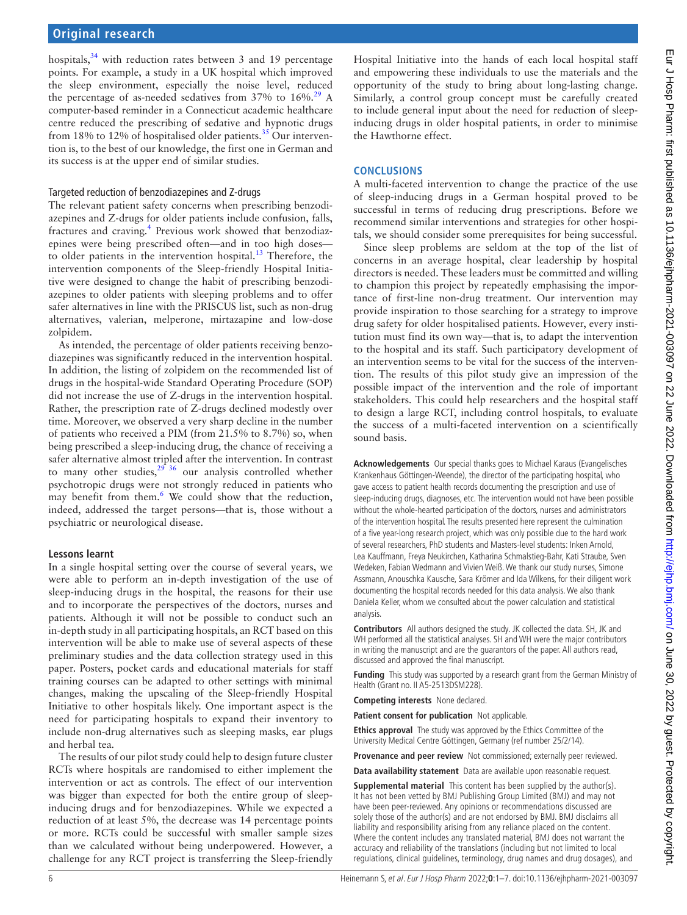hospitals, $34$  with reduction rates between 3 and 19 percentage points. For example, a study in a UK hospital which improved the sleep environment, especially the noise level, reduced the percentage of as-needed sedatives from  $37\%$  to  $16\%$ .<sup>29</sup> A computer-based reminder in a Connecticut academic healthcare centre reduced the prescribing of sedative and hypnotic drugs from 18% to 12% of hospitalised older patients.<sup>35</sup> Our intervention is, to the best of our knowledge, the first one in German and its success is at the upper end of similar studies.

### Targeted reduction of benzodiazepines and Z-drugs

The relevant patient safety concerns when prescribing benzodiazepines and Z-drugs for older patients include confusion, falls, fractures and craving.<sup>[4](#page-6-3)</sup> Previous work showed that benzodiazepines were being prescribed often—and in too high doses— to older patients in the intervention hospital.<sup>[13](#page-6-11)</sup> Therefore, the intervention components of the Sleep-friendly Hospital Initiative were designed to change the habit of prescribing benzodiazepines to older patients with sleeping problems and to offer safer alternatives in line with the PRISCUS list, such as non-drug alternatives, valerian, melperone, mirtazapine and low-dose zolpidem.

As intended, the percentage of older patients receiving benzodiazepines was significantly reduced in the intervention hospital. In addition, the listing of zolpidem on the recommended list of drugs in the hospital-wide Standard Operating Procedure (SOP) did not increase the use of Z-drugs in the intervention hospital. Rather, the prescription rate of Z-drugs declined modestly over time. Moreover, we observed a very sharp decline in the number of patients who received a PIM (from 21.5% to 8.7%) so, when being prescribed a sleep-inducing drug, the chance of receiving a safer alternative almost tripled after the intervention. In contrast to many other studies,  $2^{9}$  36 our analysis controlled whether psychotropic drugs were not strongly reduced in patients who may benefit from them.<sup>[6](#page-6-5)</sup> We could show that the reduction, indeed, addressed the target persons—that is, those without a psychiatric or neurological disease.

## **Lessons learnt**

In a single hospital setting over the course of several years, we were able to perform an in-depth investigation of the use of sleep-inducing drugs in the hospital, the reasons for their use and to incorporate the perspectives of the doctors, nurses and patients. Although it will not be possible to conduct such an in-depth study in all participating hospitals, an RCT based on this intervention will be able to make use of several aspects of these preliminary studies and the data collection strategy used in this paper. Posters, pocket cards and educational materials for staff training courses can be adapted to other settings with minimal changes, making the upscaling of the Sleep-friendly Hospital Initiative to other hospitals likely. One important aspect is the need for participating hospitals to expand their inventory to include non-drug alternatives such as sleeping masks, ear plugs and herbal tea.

The results of our pilot study could help to design future cluster RCTs where hospitals are randomised to either implement the intervention or act as controls. The effect of our intervention was bigger than expected for both the entire group of sleepinducing drugs and for benzodiazepines. While we expected a reduction of at least 5%, the decrease was 14 percentage points or more. RCTs could be successful with smaller sample sizes than we calculated without being underpowered. However, a challenge for any RCT project is transferring the Sleep-friendly

Hospital Initiative into the hands of each local hospital staff and empowering these individuals to use the materials and the opportunity of the study to bring about long-lasting change. Similarly, a control group concept must be carefully created to include general input about the need for reduction of sleepinducing drugs in older hospital patients, in order to minimise the Hawthorne effect.

## **CONCLUSIONS**

A multi-faceted intervention to change the practice of the use of sleep-inducing drugs in a German hospital proved to be successful in terms of reducing drug prescriptions. Before we recommend similar interventions and strategies for other hospitals, we should consider some prerequisites for being successful.

Since sleep problems are seldom at the top of the list of concerns in an average hospital, clear leadership by hospital directors is needed. These leaders must be committed and willing to champion this project by repeatedly emphasising the importance of first-line non-drug treatment. Our intervention may provide inspiration to those searching for a strategy to improve drug safety for older hospitalised patients. However, every institution must find its own way—that is, to adapt the intervention to the hospital and its staff. Such participatory development of an intervention seems to be vital for the success of the intervention. The results of this pilot study give an impression of the possible impact of the intervention and the role of important stakeholders. This could help researchers and the hospital staff to design a large RCT, including control hospitals, to evaluate the success of a multi-faceted intervention on a scientifically sound basis.

**Acknowledgements** Our special thanks goes to Michael Karaus (Evangelisches Krankenhaus Göttingen-Weende), the director of the participating hospital, who gave access to patient health records documenting the prescription and use of sleep-inducing drugs, diagnoses, etc. The intervention would not have been possible without the whole-hearted participation of the doctors, nurses and administrators of the intervention hospital. The results presented here represent the culmination of a five year-long research project, which was only possible due to the hard work of several researchers, PhD students and Masters-level students: Inken Arnold, Lea Kauffmann, Freya Neukirchen, Katharina Schmalstieg-Bahr, Kati Straube, Sven Wedeken, Fabian Wedmann and Vivien Weiß. We thank our study nurses, Simone Assmann, Anouschka Kausche, Sara Krömer and Ida Wilkens, for their diligent work documenting the hospital records needed for this data analysis. We also thank Daniela Keller, whom we consulted about the power calculation and statistical analysis.

**Contributors** All authors designed the study. JK collected the data. SH, JK and WH performed all the statistical analyses. SH and WH were the major contributors in writing the manuscript and are the guarantors of the paper. All authors read, discussed and approved the final manuscript.

**Funding** This study was supported by a research grant from the German Ministry of Health (Grant no. II A5-2513DSM228).

**Competing interests** None declared.

**Patient consent for publication** Not applicable.

**Ethics approval** The study was approved by the Ethics Committee of the University Medical Centre Göttingen, Germany (ref number 25/2/14).

**Provenance and peer review** Not commissioned; externally peer reviewed.

**Data availability statement** Data are available upon reasonable request.

**Supplemental material** This content has been supplied by the author(s). It has not been vetted by BMJ Publishing Group Limited (BMJ) and may not have been peer-reviewed. Any opinions or recommendations discussed are solely those of the author(s) and are not endorsed by BMJ. BMJ disclaims all liability and responsibility arising from any reliance placed on the content. Where the content includes any translated material, BMJ does not warrant the accuracy and reliability of the translations (including but not limited to local regulations, clinical guidelines, terminology, drug names and drug dosages), and